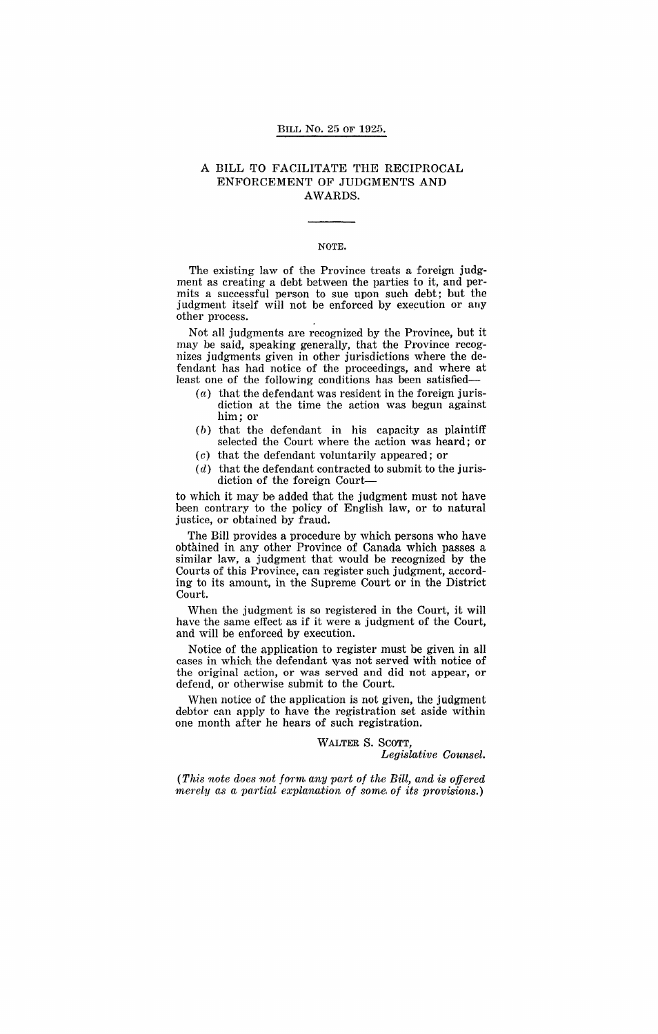#### BILL No. 25 OF 1925.

### A BILL TO FACILITATE THE RECIPROCAL ENFORCEMENT OF JUDGMENTS AND AWARDS.

#### NOTE.

The existing law of the Province treats a foreign judgment as creating a debt between the parties to it, and permits a successful person to sue upon such debt; but the judgment itself will not be enforced by execution or any other process.

Not all judgments are recognized by the Province, but it may be said, speaking generally, that the Province recognizes judgments given in other jurisdictions where the defendant has had notice of the proceedings, and where at least one of the following conditions has been satisfied-

- $(a)$  that the defendant was resident in the foreign jurisdiction at the time the action was begun against him; or
- $(b)$  that the defendant in his capacity as plaintiff selected the Court where the action was heard; or
- (c) that the defendant voluntarily appeared; or
- $(d)$  that the defendant contracted to submit to the jurisdiction of the foreign Court-

to which it may be added that the judgment must not have been contrary to the policy of English law, or to natural justice, or obtained by fraud.

The Bill provides a procedure by which persons who have obtained in any other Province of Canada which passes a similar law, a judgment that would be recognized by the Courts of this Province, can register such judgment, according to its amount, in the Supreme Court or in the District Court.

When the judgment is so registered in the Court, it will have the same effect as if it were a judgment of the Court, and will be enforced by execution.

Notice of the application to register must be given in all cases in which the defendant was not served with notice of the original action, or was served and did not appear, or defend, or otherwise submit to the Court.

When notice of the application is not given, the judgment debtor can apply to have the registration set aside within one month after he hears of such registration.

# WALTER S. SCOTT,

*Legislative Counsel.* 

*(This note does not* forn~ *any part of the Bill, and is offered merely as a partial explanation of some of its provisions.*)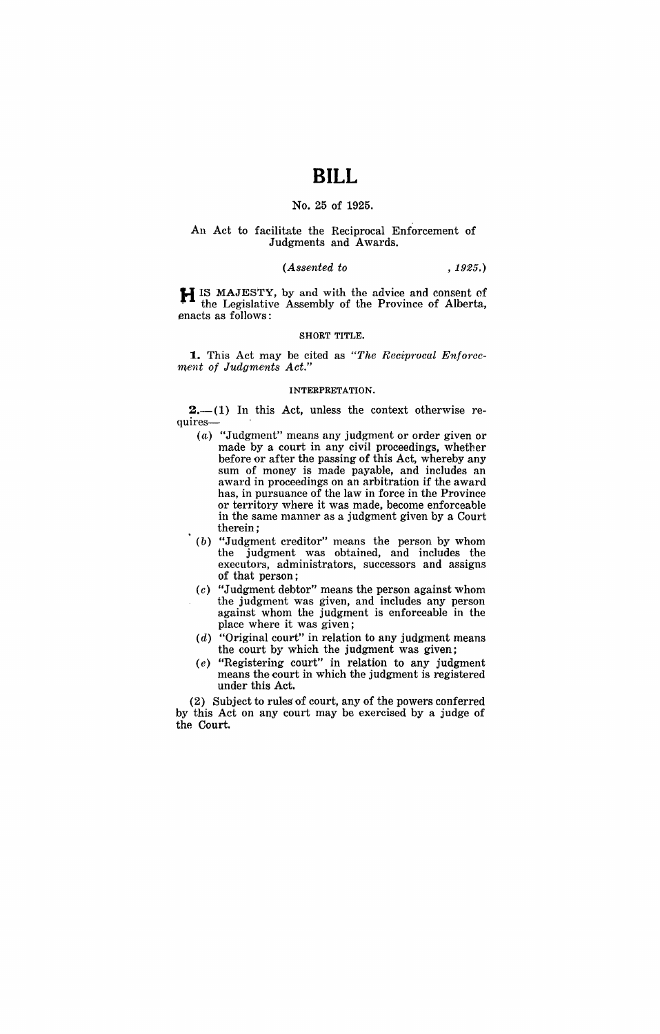# **BILL**

### No. 25 of 1925.

#### An Act to facilitate the Reciprocal Enforcement of Judgments and Awards.

### *(Assented to* , 1925.)

**H** IS MAJESTY, by and with the advice and consent of the Legislative Assembly of the Province of Alberta, enacts as follows:

#### SHORT TITLE.

**1.** This Act may be cited as *"The Reciprocal Enforcement of Judgments Act."* 

#### INTERPRETATION.

 $2,-(1)$  In this Act, unless the context otherwise requires-

- (a) "Judgment" means any judgment or order given or made by a court in any civil proceedings, whether before or after the passing of this Act, whereby any sum of money is made payable, and includes an award in proceedings on an arbitration if the award has, in pursuance of the law in force in the Province or territory where it was made, become enforceable in the same manner as a judgment given by a Court therein;
- (b) "Judgment creditor" means the person by whom the judgment was obtained, and includes the executors, administrators, successors and assigns of that person;
- $(c)$  "Judgment debtor" means the person against whom the judgment was given, and includes any person against whom the judgment is enforceable in the place where it was given;
- $(d)$  "Original court" in relation to any judgment means the court by which the judgment was given;
- (e) "Registering court" in relation to any judgment means the court in which the judgment is registered under this Act.

(2) Subject to rules of court, any of the powers conferred by this Act on any court may be exercised by a judge of the Court.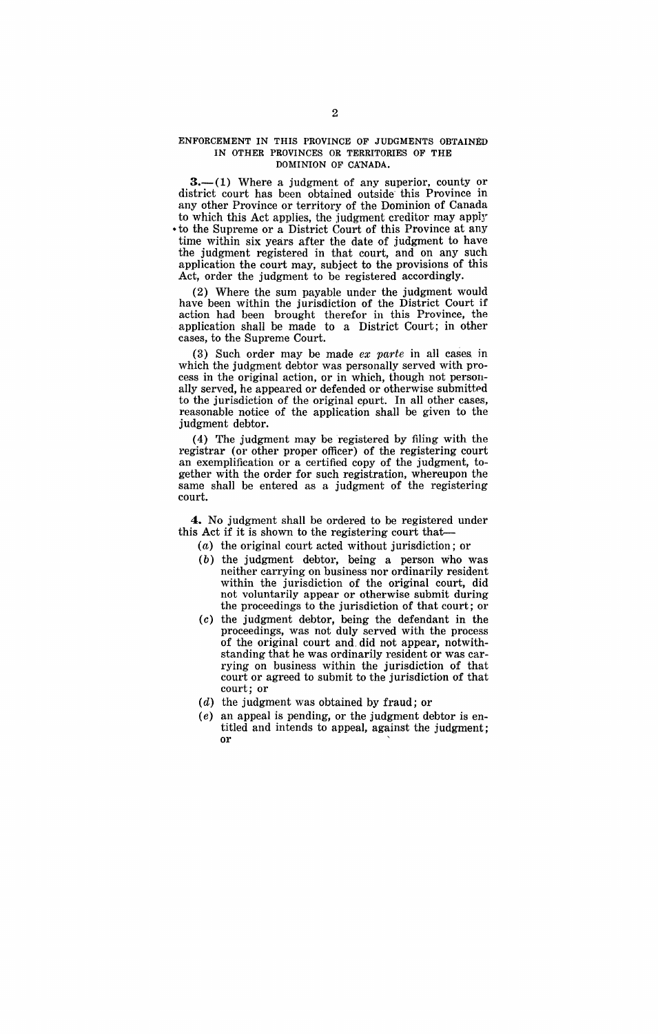#### ENFORCEMENT IN THIS PROVINCE OF JUDGMENTS OBTAINED IN OTHER PROVINCES OR TERRITORIES OF THE DOMINION OF CKNADA.

 $3-$ (1) Where a judgment of any superior, county or district court has been obtained outside this Province in any other Province or territory of the Dominion of Canada to which this Act applies, the judgment creditor may apply • to the Supreme or a District Court of this Province at any time within six years after the date of judgment to have the judgment registered in that court, and on any such application the court may, subject to the provisions of this Act, order the judgment to be registered accordingly.

(2) Where the sum payable under the judgment would have been within the jurisdiction of the District Court if action had been brought therefor in this Province, the application shall be made to a District Court; in other cases, to the Supreme Court.

(3) Such order may be made *ex parte* in all cases in which the judgment debtor was personally served with process in the original action, or in which, though not personally served, he appeared or defended or otherwise submitted to the jurisdiction of the original cpurt. In all other cases, reasonable notice of the application shall be given to the judgment debtor.

(4) The judgment may be registered by filing with the registrar (or other proper officer) of the registering court an exemplification or a certified copy of the judgment, together with the order for such registration, whereupon the same shall be entered as a judgment of the registering court.

**4.** No judgment shall be ordered to be registered under this Act if it is shown to the registering court that--

- *(a)*  the original court acted without jurisdiction; or
- (b) the judgment debtor, being a person who was neither carrying on business nor ordinarily resident within the jurisdiction of the original court, did not voluntarily appear or otherwise submit during the proceedings to the jurisdiction of that court; or
- (c) the judgment debtor, being the defendant in the proceedings, was not duly served with the process of the original court and, did not appear, notwithstanding that he was ordinarily resident or was carrying on business within the jurisdiction of that court or agreed to submit to the jurisdiction of that court; or
- *(d)*  the judgment was obtained by fraud; or
- (e) an appeal is pending, or the judgment debtor is entitled and intends to appeal, against the judgment; or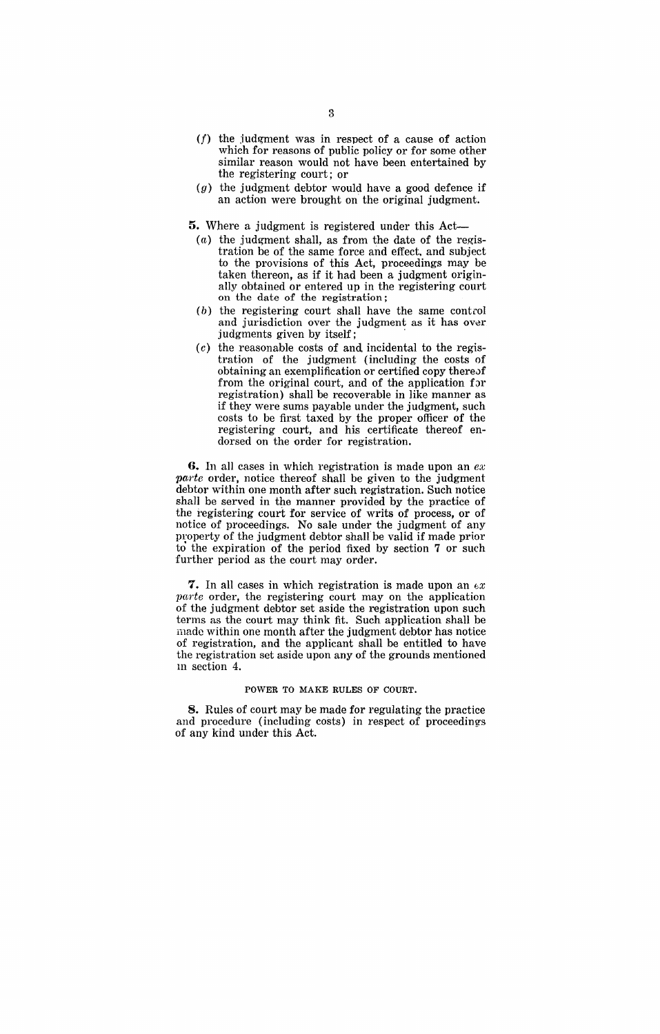- $(f)$  the judgment was in respect of a cause of action which for reasons of public policy or for some other similar reason would not have been entertained by the registering court; or
- $(g)$  the judgment debtor would have a good defence if an action were brought on the original judgment.

**5.** Where a judgment is registered under this Act-

- $(a)$  the judgment shall, as from the date of the registration be of the same force and effect. and subject to the provisions of this Act, proceedings may be taken thereon, as if it had been a judgment originally obtained or entered up in the registering court on the date of the registration;
- (b) the registering court shall have the same control and jurisdiction over the judgment as it has over judgments given by itself; .
- $(c)$  the reasonable costs of and incidental to the registration of the judgment (including the costs of obtaining an exemplification or certified copy there of from the original court, and of the application for registration) shall be recoverable in like manner as if they were sums payable under the judgment, such costs to be first taxed by the proper officer of the registering court, and his certificate thereof endorsed on the order for registration.

**6,** In all cases in which registration is made upon an *ex*  parte order, notice thereof shall be given to the judgment debtor within one month after such registration. Such notice shall be served in the manner provided by the practice of the registering court for service of writs of process, or of notice of proceedings. No sale under the judgment of any property of the judgment debtor shall be valid if made prior to the expiration of the period fixed by section 7 or such further period as the court may order.

**7.** In all cases in which registration is made upon an  $ex$  $parte$  order, the registering court may on the application of the judgment debtor set aside the registration upon such terms as the court may think fit. Such application shall be made within one month after the judgment debtor has notice of registration, and the applicant shall be entitled to have the registration set aside upon any of the grounds mentioned 111 section 4.

#### POWER TO MAKE RULES OF COURT.

S. Rules of court may be made for regulating the practice and procedure (including costs) in respect of proceedings of any kind under this Act.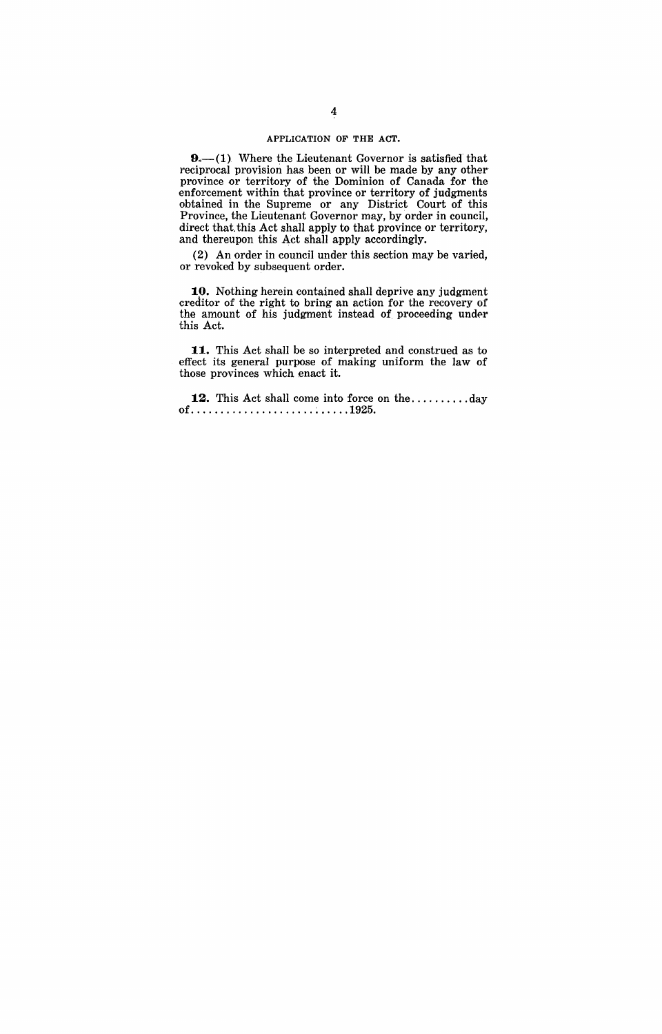#### APPLICATION OF THE ACT.

 $9 - (1)$ . Where the Lieutenant Governor is satisfied that reciprocal provision has been or will be made by any other province or territory of the Dominion of Canada for the enforcement within that province or territory of judgments obtained in the Supreme or any District Court of this Province, the Lieutenant Governor may, by order in council, direct that this Act shall apply to that province or territory, and thereupon this Act shall apply accordingly.

(2) An order in council under this section may be varied, or revoked by subsequent order.

**10.** Nothing herein contained shall deprive any judgment creditor of the right to bring an action for the recovery of the amount of his judgment instead of proceeding under this Act.

**11.** This Act shall be so interpreted and construed as to effect its general purpose of making uniform the law of those provinces which enact it.

12. This Act shall come into force on the ...........day of ..................... ~ ..... 1925.